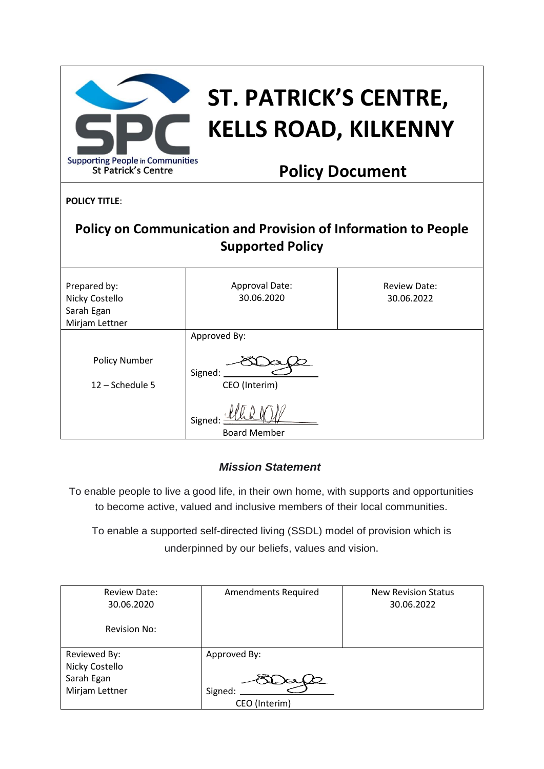| <b>Supporting People in Communities</b><br><b>St Patrick's Centre</b>                            | ST. PATRICK'S CENTRE,<br><b>KELLS ROAD, KILKENNY</b><br><b>Policy Document</b> |                                   |  |  |
|--------------------------------------------------------------------------------------------------|--------------------------------------------------------------------------------|-----------------------------------|--|--|
| <b>POLICY TITLE:</b>                                                                             |                                                                                |                                   |  |  |
| <b>Policy on Communication and Provision of Information to People</b><br><b>Supported Policy</b> |                                                                                |                                   |  |  |
| Prepared by:<br>Nicky Costello<br>Sarah Egan<br>Mirjam Lettner                                   | Approval Date:<br>30.06.2020                                                   | <b>Review Date:</b><br>30.06.2022 |  |  |
|                                                                                                  | Approved By:                                                                   |                                   |  |  |
| <b>Policy Number</b><br>$12 - Schedule$ 5                                                        | Signed:<br>CEO (Interim)                                                       |                                   |  |  |
|                                                                                                  | Signed:<br><b>Board Member</b>                                                 |                                   |  |  |

# *Mission Statement*

To enable people to live a good life, in their own home, with supports and opportunities to become active, valued and inclusive members of their local communities.

To enable a supported self-directed living (SSDL) model of provision which is underpinned by our beliefs, values and vision.

| <b>Review Date:</b> | <b>Amendments Required</b> | <b>New Revision Status</b> |
|---------------------|----------------------------|----------------------------|
| 30.06.2020          |                            | 30.06.2022                 |
|                     |                            |                            |
| <b>Revision No:</b> |                            |                            |
|                     |                            |                            |
| Reviewed By:        | Approved By:               |                            |
| Nicky Costello      |                            |                            |
| Sarah Egan          |                            |                            |
| Mirjam Lettner      | Signed:                    |                            |
|                     | CEO (Interim)              |                            |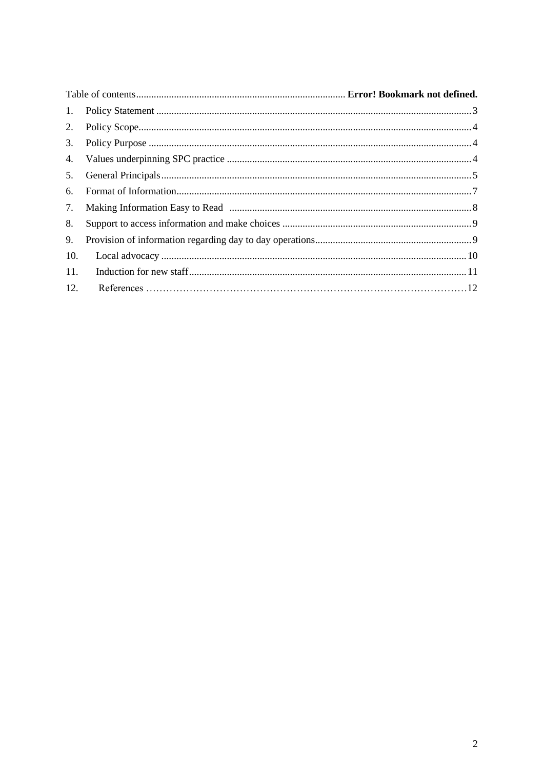| 1.  |  |
|-----|--|
| 2.  |  |
| 3.  |  |
| 4.  |  |
| 5.  |  |
| 6.  |  |
| 7.  |  |
| 8.  |  |
| 9.  |  |
| 10. |  |
| 11. |  |
| 12. |  |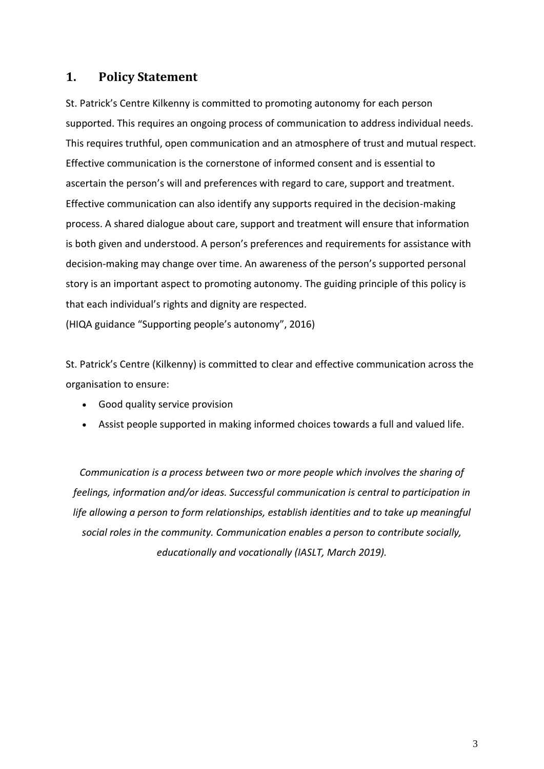## <span id="page-2-0"></span>**1. Policy Statement**

St. Patrick's Centre Kilkenny is committed to promoting autonomy for each person supported. This requires an ongoing process of communication to address individual needs. This requires truthful, open communication and an atmosphere of trust and mutual respect. Effective communication is the cornerstone of informed consent and is essential to ascertain the person's will and preferences with regard to care, support and treatment. Effective communication can also identify any supports required in the decision-making process. A shared dialogue about care, support and treatment will ensure that information is both given and understood. A person's preferences and requirements for assistance with decision-making may change over time. An awareness of the person's supported personal story is an important aspect to promoting autonomy. The guiding principle of this policy is that each individual's rights and dignity are respected.

(HIQA guidance "Supporting people's autonomy", 2016)

St. Patrick's Centre (Kilkenny) is committed to clear and effective communication across the organisation to ensure:

- Good quality service provision
- Assist people supported in making informed choices towards a full and valued life.

*Communication is a process between two or more people which involves the sharing of feelings, information and/or ideas. Successful communication is central to participation in life allowing a person to form relationships, establish identities and to take up meaningful social roles in the community. Communication enables a person to contribute socially, educationally and vocationally (IASLT, March 2019).*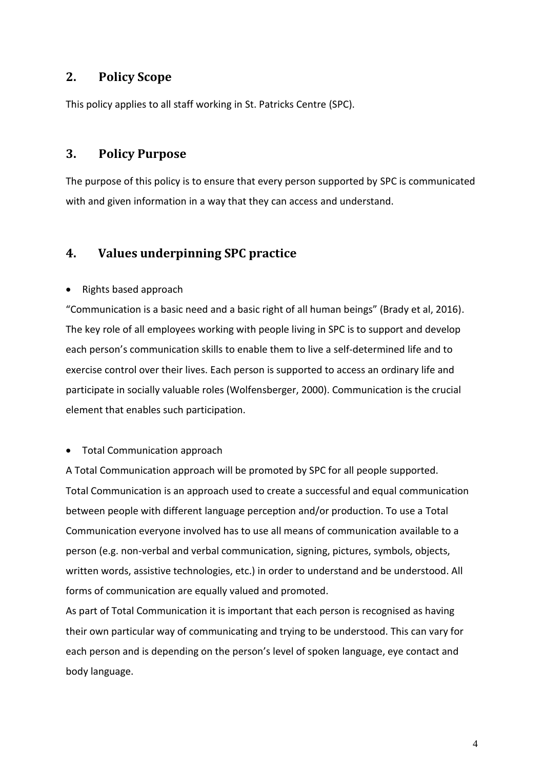## <span id="page-3-0"></span>**2. Policy Scope**

This policy applies to all staff working in St. Patricks Centre (SPC).

### <span id="page-3-1"></span>**3. Policy Purpose**

The purpose of this policy is to ensure that every person supported by SPC is communicated with and given information in a way that they can access and understand.

## <span id="page-3-2"></span>**4. Values underpinning SPC practice**

#### • Rights based approach

"Communication is a basic need and a basic right of all human beings" (Brady et al, 2016). The key role of all employees working with people living in SPC is to support and develop each person's communication skills to enable them to live a self-determined life and to exercise control over their lives. Each person is supported to access an ordinary life and participate in socially valuable roles (Wolfensberger, 2000). Communication is the crucial element that enables such participation.

#### • Total Communication approach

A Total Communication approach will be promoted by SPC for all people supported. Total Communication is an approach used to create a successful and equal communication between people with different language perception and/or production. To use a Total Communication everyone involved has to use all means of communication available to a person (e.g. non-verbal and verbal communication, signing, pictures, symbols, objects, written words, assistive technologies, etc.) in order to understand and be understood. All forms of communication are equally valued and promoted.

As part of Total Communication it is important that each person is recognised as having their own particular way of communicating and trying to be understood. This can vary for each person and is depending on the person's level of spoken language, eye contact and body language.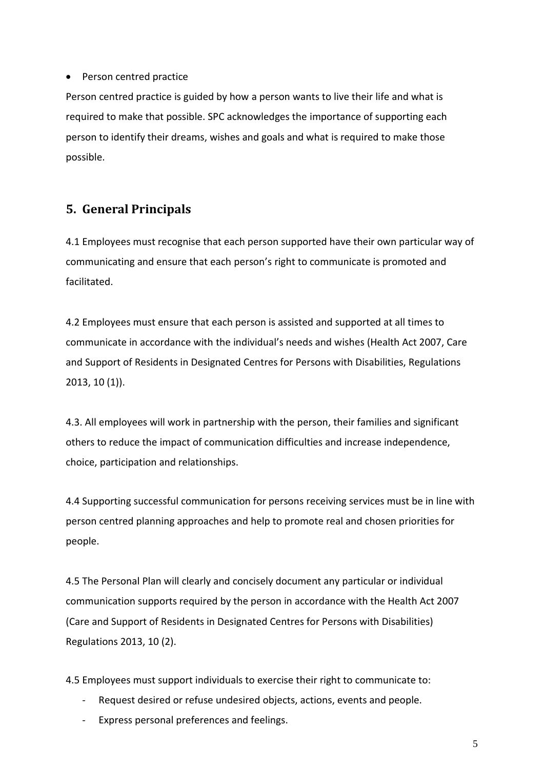#### • Person centred practice

Person centred practice is guided by how a person wants to live their life and what is required to make that possible. SPC acknowledges the importance of supporting each person to identify their dreams, wishes and goals and what is required to make those possible.

# <span id="page-4-0"></span>**5. General Principals**

4.1 Employees must recognise that each person supported have their own particular way of communicating and ensure that each person's right to communicate is promoted and facilitated.

4.2 Employees must ensure that each person is assisted and supported at all times to communicate in accordance with the individual's needs and wishes (Health Act 2007, Care and Support of Residents in Designated Centres for Persons with Disabilities, Regulations 2013, 10 (1)).

4.3. All employees will work in partnership with the person, their families and significant others to reduce the impact of communication difficulties and increase independence, choice, participation and relationships.

4.4 Supporting successful communication for persons receiving services must be in line with person centred planning approaches and help to promote real and chosen priorities for people.

4.5 The Personal Plan will clearly and concisely document any particular or individual communication supports required by the person in accordance with the Health Act 2007 (Care and Support of Residents in Designated Centres for Persons with Disabilities) Regulations 2013, 10 (2).

4.5 Employees must support individuals to exercise their right to communicate to:

- Request desired or refuse undesired objects, actions, events and people.
- Express personal preferences and feelings.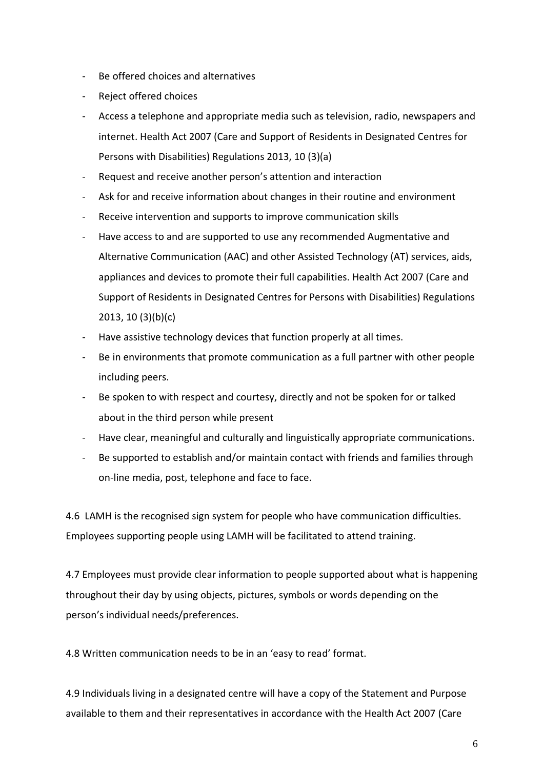- Be offered choices and alternatives
- Reject offered choices
- Access a telephone and appropriate media such as television, radio, newspapers and internet. Health Act 2007 (Care and Support of Residents in Designated Centres for Persons with Disabilities) Regulations 2013, 10 (3)(a)
- Request and receive another person's attention and interaction
- Ask for and receive information about changes in their routine and environment
- Receive intervention and supports to improve communication skills
- Have access to and are supported to use any recommended Augmentative and Alternative Communication (AAC) and other Assisted Technology (AT) services, aids, appliances and devices to promote their full capabilities. Health Act 2007 (Care and Support of Residents in Designated Centres for Persons with Disabilities) Regulations 2013, 10 (3)(b)(c)
- Have assistive technology devices that function properly at all times.
- Be in environments that promote communication as a full partner with other people including peers.
- Be spoken to with respect and courtesy, directly and not be spoken for or talked about in the third person while present
- Have clear, meaningful and culturally and linguistically appropriate communications.
- Be supported to establish and/or maintain contact with friends and families through on-line media, post, telephone and face to face.

4.6 LAMH is the recognised sign system for people who have communication difficulties. Employees supporting people using LAMH will be facilitated to attend training.

4.7 Employees must provide clear information to people supported about what is happening throughout their day by using objects, pictures, symbols or words depending on the person's individual needs/preferences.

4.8 Written communication needs to be in an 'easy to read' format.

4.9 Individuals living in a designated centre will have a copy of the Statement and Purpose available to them and their representatives in accordance with the Health Act 2007 (Care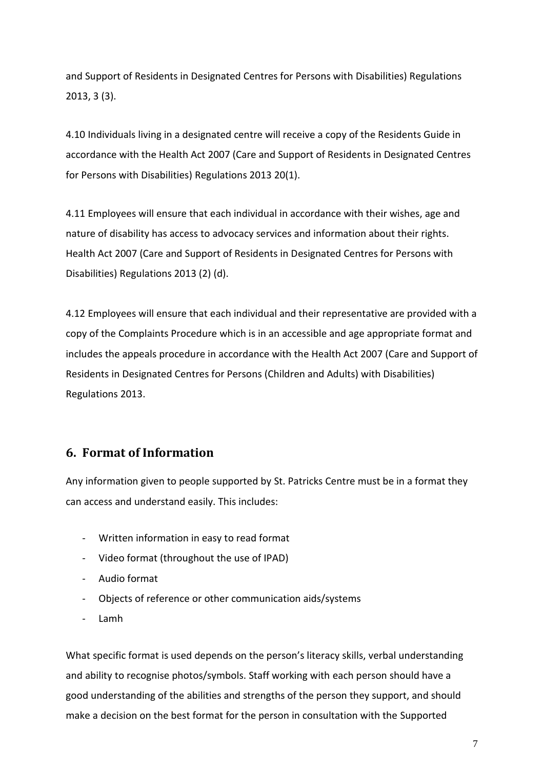and Support of Residents in Designated Centres for Persons with Disabilities) Regulations 2013, 3 (3).

4.10 Individuals living in a designated centre will receive a copy of the Residents Guide in accordance with the Health Act 2007 (Care and Support of Residents in Designated Centres for Persons with Disabilities) Regulations 2013 20(1).

4.11 Employees will ensure that each individual in accordance with their wishes, age and nature of disability has access to advocacy services and information about their rights. Health Act 2007 (Care and Support of Residents in Designated Centres for Persons with Disabilities) Regulations 2013 (2) (d).

4.12 Employees will ensure that each individual and their representative are provided with a copy of the Complaints Procedure which is in an accessible and age appropriate format and includes the appeals procedure in accordance with the Health Act 2007 (Care and Support of Residents in Designated Centres for Persons (Children and Adults) with Disabilities) Regulations 2013.

## <span id="page-6-0"></span>**6. Format of Information**

Any information given to people supported by St. Patricks Centre must be in a format they can access and understand easily. This includes:

- Written information in easy to read format
- Video format (throughout the use of IPAD)
- Audio format
- Objects of reference or other communication aids/systems
- Lamh

What specific format is used depends on the person's literacy skills, verbal understanding and ability to recognise photos/symbols. Staff working with each person should have a good understanding of the abilities and strengths of the person they support, and should make a decision on the best format for the person in consultation with the Supported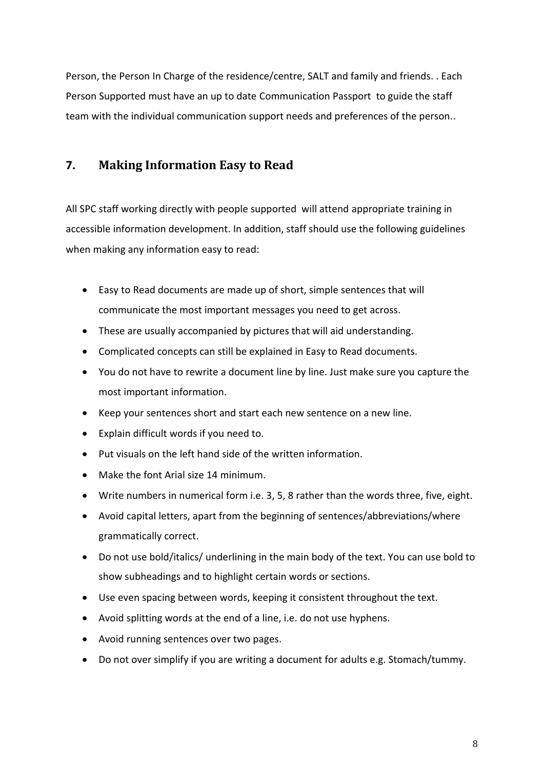Person, the Person In Charge of the residence/centre, SALT and family and friends. . Each Person Supported must have an up to date Communication Passport to guide the staff team with the individual communication support needs and preferences of the person..

# <span id="page-7-0"></span>**7. Making Information Easy to Read**

All SPC staff working directly with people supported will attend appropriate training in accessible information development. In addition, staff should use the following guidelines when making any information easy to read:

- Easy to Read documents are made up of short, simple sentences that will communicate the most important messages you need to get across.
- These are usually accompanied by pictures that will aid understanding.
- Complicated concepts can still be explained in Easy to Read documents.
- You do not have to rewrite a document line by line. Just make sure you capture the most important information.
- Keep your sentences short and start each new sentence on a new line.
- Explain difficult words if you need to.
- Put visuals on the left hand side of the written information.
- Make the font Arial size 14 minimum.
- Write numbers in numerical form i.e. 3, 5, 8 rather than the words three, five, eight.
- Avoid capital letters, apart from the beginning of sentences/abbreviations/where grammatically correct.
- Do not use bold/italics/ underlining in the main body of the text. You can use bold to show subheadings and to highlight certain words or sections.
- Use even spacing between words, keeping it consistent throughout the text.
- Avoid splitting words at the end of a line, i.e. do not use hyphens.
- Avoid running sentences over two pages.
- Do not over simplify if you are writing a document for adults e.g. Stomach/tummy.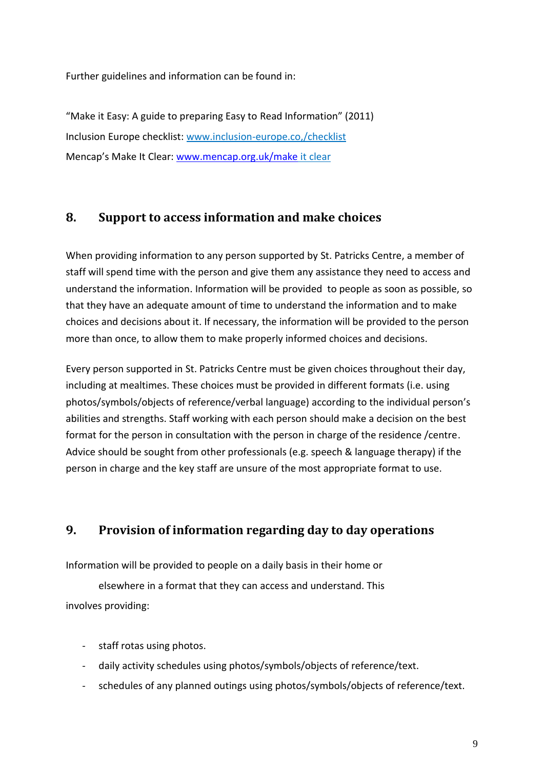Further guidelines and information can be found in:

"Make it Easy: A guide to preparing Easy to Read Information" (2011) Inclusion Europe checklist: www.inclusion-europe.co,/checklist Mencap's Make It Clear: [www.mencap.org.uk/make](http://www.mencap.org.uk/make) it clear

## <span id="page-8-0"></span>**8. Support to access information and make choices**

When providing information to any person supported by St. Patricks Centre, a member of staff will spend time with the person and give them any assistance they need to access and understand the information. Information will be provided to people as soon as possible, so that they have an adequate amount of time to understand the information and to make choices and decisions about it. If necessary, the information will be provided to the person more than once, to allow them to make properly informed choices and decisions.

Every person supported in St. Patricks Centre must be given choices throughout their day, including at mealtimes. These choices must be provided in different formats (i.e. using photos/symbols/objects of reference/verbal language) according to the individual person's abilities and strengths. Staff working with each person should make a decision on the best format for the person in consultation with the person in charge of the residence /centre. Advice should be sought from other professionals (e.g. speech & language therapy) if the person in charge and the key staff are unsure of the most appropriate format to use.

## <span id="page-8-1"></span>**9. Provision of information regarding day to day operations**

Information will be provided to people on a daily basis in their home or

elsewhere in a format that they can access and understand. This involves providing:

- staff rotas using photos.
- daily activity schedules using photos/symbols/objects of reference/text.
- schedules of any planned outings using photos/symbols/objects of reference/text.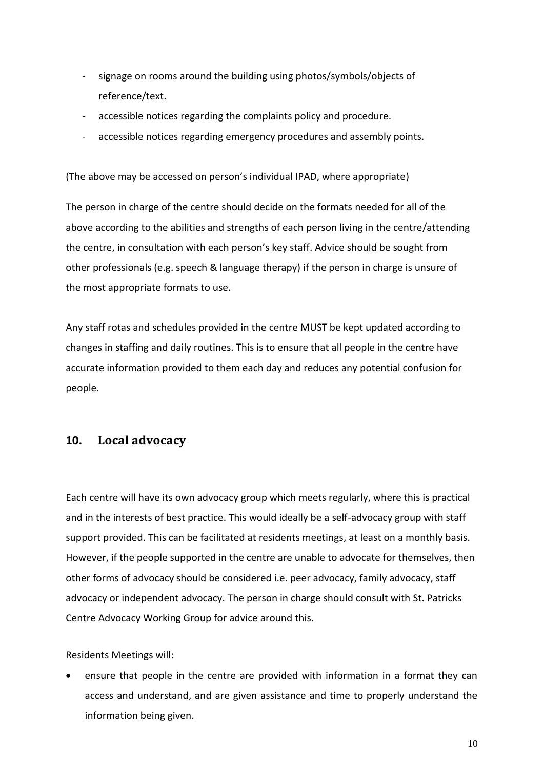- signage on rooms around the building using photos/symbols/objects of reference/text.
- accessible notices regarding the complaints policy and procedure.
- accessible notices regarding emergency procedures and assembly points.

(The above may be accessed on person's individual IPAD, where appropriate)

The person in charge of the centre should decide on the formats needed for all of the above according to the abilities and strengths of each person living in the centre/attending the centre, in consultation with each person's key staff. Advice should be sought from other professionals (e.g. speech & language therapy) if the person in charge is unsure of the most appropriate formats to use.

Any staff rotas and schedules provided in the centre MUST be kept updated according to changes in staffing and daily routines. This is to ensure that all people in the centre have accurate information provided to them each day and reduces any potential confusion for people.

#### <span id="page-9-0"></span>**10. Local advocacy**

Each centre will have its own advocacy group which meets regularly, where this is practical and in the interests of best practice. This would ideally be a self-advocacy group with staff support provided. This can be facilitated at residents meetings, at least on a monthly basis. However, if the people supported in the centre are unable to advocate for themselves, then other forms of advocacy should be considered i.e. peer advocacy, family advocacy, staff advocacy or independent advocacy. The person in charge should consult with St. Patricks Centre Advocacy Working Group for advice around this.

Residents Meetings will:

• ensure that people in the centre are provided with information in a format they can access and understand, and are given assistance and time to properly understand the information being given.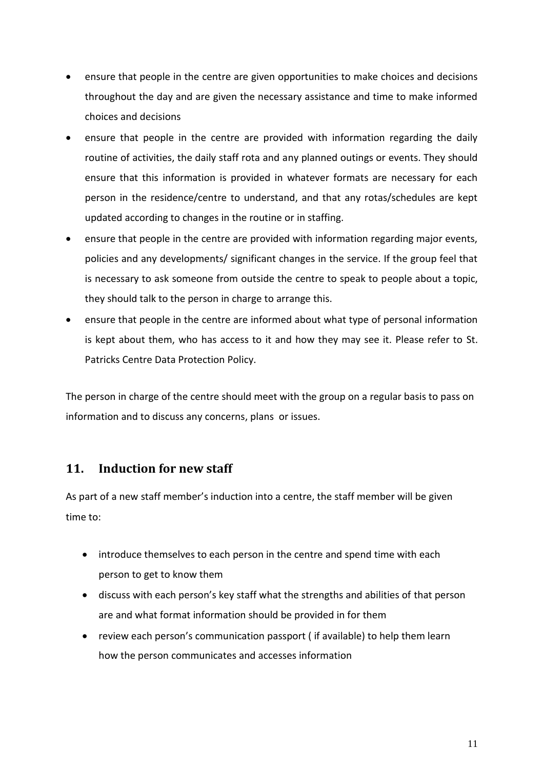- ensure that people in the centre are given opportunities to make choices and decisions throughout the day and are given the necessary assistance and time to make informed choices and decisions
- ensure that people in the centre are provided with information regarding the daily routine of activities, the daily staff rota and any planned outings or events. They should ensure that this information is provided in whatever formats are necessary for each person in the residence/centre to understand, and that any rotas/schedules are kept updated according to changes in the routine or in staffing.
- ensure that people in the centre are provided with information regarding major events, policies and any developments/ significant changes in the service. If the group feel that is necessary to ask someone from outside the centre to speak to people about a topic, they should talk to the person in charge to arrange this.
- ensure that people in the centre are informed about what type of personal information is kept about them, who has access to it and how they may see it. Please refer to St. Patricks Centre Data Protection Policy.

The person in charge of the centre should meet with the group on a regular basis to pass on information and to discuss any concerns, plans or issues.

## <span id="page-10-0"></span>**11. Induction for new staff**

As part of a new staff member's induction into a centre, the staff member will be given time to:

- introduce themselves to each person in the centre and spend time with each person to get to know them
- discuss with each person's key staff what the strengths and abilities of that person are and what format information should be provided in for them
- review each person's communication passport ( if available) to help them learn how the person communicates and accesses information